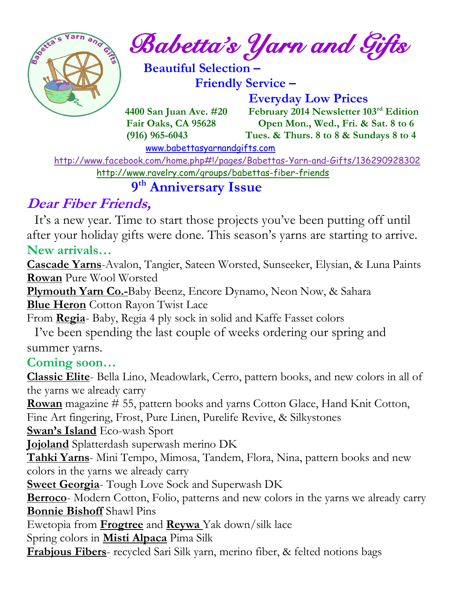

*Babetta's Yarn and Gifts* 

 **Beautiful Selection – Friendly Service –**

 **Everyday Low Prices**

 **4400 San Juan Ave. #20 February 2014 Newsletter 103rd Edition Fair Oaks, CA 95628 Open Mon., Wed., Fri. & Sat. 8 to 6 (916) 965-6043 Tues. & Thurs. 8 to 8 & Sundays 8 to 4** 

[www.babettasyarnandgifts.com](http://www.babettasyarnandgifts.com/)

 <http://www.facebook.com/home.php#!/pages/Babettas-Yarn-and-Gifts/136290928302> <http://www.ravelry.com/groups/babettas-fiber-friends>

#### **9 th Anniversary Issue**

# **Dear Fiber Friends,**

It's a new year. Time to start those projects you've been putting off until after your holiday gifts were done. This season's yarns are starting to arrive. **New arrivals…**

**Cascade Yarns**-Avalon, Tangier, Sateen Worsted, Sunseeker, Elysian, & Luna Paints **Rowan** Pure Wool Worsted

**Plymouth Yarn Co.-**Baby Beenz, Encore Dynamo, Neon Now, & Sahara **Blue Heron** Cotton Rayon Twist Lace

From **Regia**- Baby, Regia 4 ply sock in solid and Kaffe Fasset colors

 I've been spending the last couple of weeks ordering our spring and summer yarns.

### **Coming soon…**

**Classic Elite**- Bella Lino, Meadowlark, Cerro, pattern books, and new colors in all of the yarns we already carry

**Rowan** magazine # 55, pattern books and yarns Cotton Glace, Hand Knit Cotton, Fine Art fingering, Frost, Pure Linen, Purelife Revive, & Silkystones

**Swan's Island** Eco-wash Sport

**Jojoland** Splatterdash superwash merino DK

**Tahki Yarns**- Mini Tempo, Mimosa, Tandem, Flora, Nina, pattern books and new colors in the yarns we already carry

**Sweet Georgia-** Tough Love Sock and Superwash DK

**Berroco**- Modern Cotton, Folio, patterns and new colors in the yarns we already carry **Bonnie Bishoff** Shawl Pins

Ewetopia from **Frogtree** and **Reywa** Yak down/silk lace

Spring colors in **Misti Alpaca** Pima Silk

**Frabjous Fibers**- recycled Sari Silk yarn, merino fiber, & felted notions bags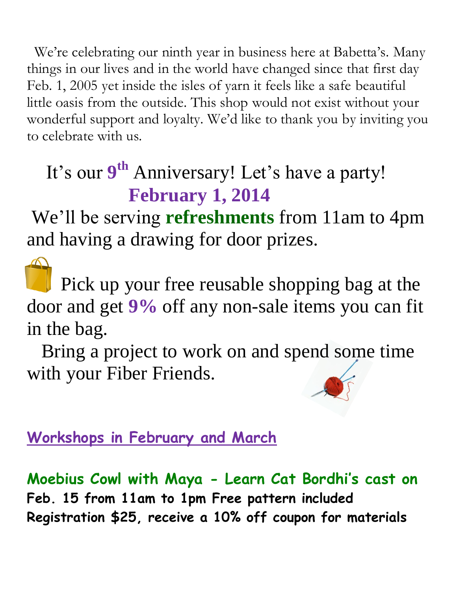We're celebrating our ninth year in business here at Babetta's. Many things in our lives and in the world have changed since that first day Feb. 1, 2005 yet inside the isles of yarn it feels like a safe beautiful little oasis from the outside. This shop would not exist without your wonderful support and loyalty. We'd like to thank you by inviting you to celebrate with us.

# It's our 9<sup>th</sup> Anniversary! Let's have a party! **February 1, 2014**

We'll be serving **refreshments** from 11am to 4pm and having a drawing for door prizes.

 Pick up your free reusable shopping bag at the door and get **9%** off any non-sale items you can fit in the bag.

 Bring a project to work on and spend some time with your Fiber Friends.

# **Workshops in February and March**

**Moebius Cowl with Maya - Learn Cat Bordhi's cast on Feb. 15 from 11am to 1pm Free pattern included Registration \$25, receive a 10% off coupon for materials**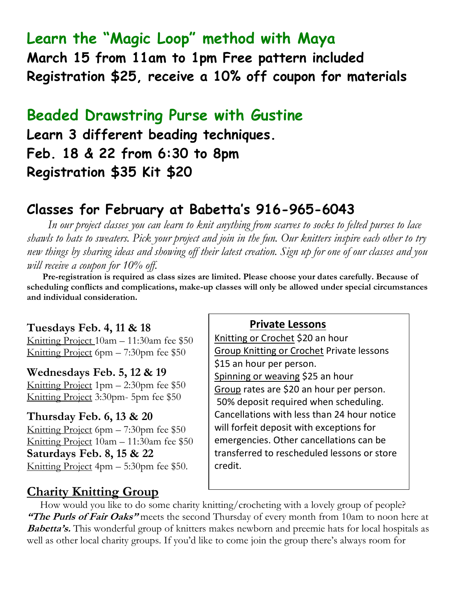# **Learn the "Magic Loop" method with Maya**

**March 15 from 11am to 1pm Free pattern included Registration \$25, receive a 10% off coupon for materials**

### **Beaded Drawstring Purse with Gustine**

**Learn 3 different beading techniques. Feb. 18 & 22 from 6:30 to 8pm Registration \$35 Kit \$20**

### **Classes for February at Babetta's 916-965-6043**

 *In our project classes you can learn to knit anything from scarves to socks to felted purses to lace shawls to hats to sweaters. Pick your project and join in the fun. Our knitters inspire each other to try new things by sharing ideas and showing off their latest creation. Sign up for one of our classes and you will receive a coupon for 10% off.*

 **Pre-registration is required as class sizes are limited. Please choose your dates carefully. Because of scheduling conflicts and complications, make-up classes will only be allowed under special circumstances and individual consideration.**

#### **Tuesdays Feb. 4, 11 & 18**

Knitting Project 10am – 11:30am fee \$50 Knitting Project 6pm – 7:30pm fee \$50

#### **Wednesdays Feb. 5, 12 & 19**

Knitting Project 1pm – 2:30pm fee \$50 Knitting Project 3:30pm- 5pm fee \$50

#### **Thursday Feb. 6, 13 & 20**

Knitting Project 6pm – 7:30pm fee \$50 Knitting Project 10am – 11:30am fee \$50 **Saturdays Feb. 8, 15 & 22** Knitting Project 4pm – 5:30pm fee \$50.

#### **Private Lessons**

Knitting or Crochet \$20 an hour Group Knitting or Crochet Private lessons \$15 an hour per person. Spinning or weaving \$25 an hour Group rates are \$20 an hour per person. 50% deposit required when scheduling. Cancellations with less than 24 hour notice will forfeit deposit with exceptions for emergencies. Other cancellations can be transferred to rescheduled lessons or store credit.

### **Charity Knitting Group**

 How would you like to do some charity knitting/crocheting with a lovely group of people? **"The Purls of Fair Oaks"** meets the second Thursday of every month from 10am to noon here at **Babetta's.** This wonderful group of knitters makes newborn and preemie hats for local hospitals as well as other local charity groups. If you'd like to come join the group there's always room for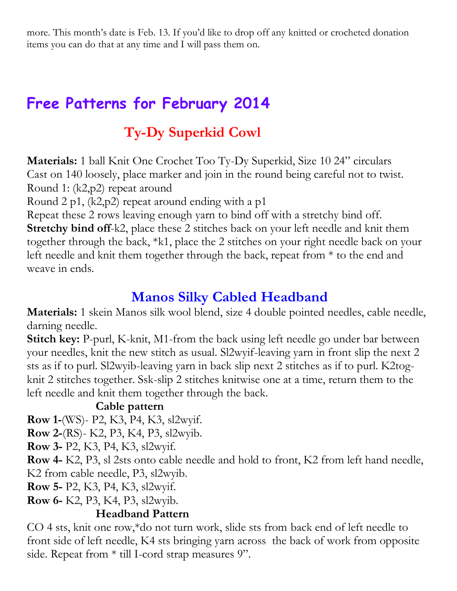more. This month's date is Feb. 13. If you'd like to drop off any knitted or crocheted donation items you can do that at any time and I will pass them on.

# **Free Patterns for February 2014**

# **Ty-Dy Superkid Cowl**

**Materials:** 1 ball Knit One Crochet Too Ty-Dy Superkid, Size 10 24" circulars Cast on 140 loosely, place marker and join in the round being careful not to twist. Round 1: (k2,p2) repeat around

Round 2 p1,  $(k2,p2)$  repeat around ending with a p1

Repeat these 2 rows leaving enough yarn to bind off with a stretchy bind off. **Stretchy bind off-k2, place these 2 stitches back on your left needle and knit them** together through the back, \*k1, place the 2 stitches on your right needle back on your left needle and knit them together through the back, repeat from \* to the end and weave in ends.

## **Manos Silky Cabled Headband**

**Materials:** 1 skein Manos silk wool blend, size 4 double pointed needles, cable needle, darning needle.

**Stitch key:** P-purl, K-knit, M1-from the back using left needle go under bar between your needles, knit the new stitch as usual. Sl2wyif-leaving yarn in front slip the next 2 sts as if to purl. Sl2wyib-leaving yarn in back slip next 2 stitches as if to purl. K2togknit 2 stitches together. Ssk-slip 2 stitches knitwise one at a time, return them to the left needle and knit them together through the back.

### **Cable pattern**

**Row 1-**(WS)- P2, K3, P4, K3, sl2wyif.

**Row 2-**(RS)- K2, P3, K4, P3, sl2wyib.

**Row 3-** P2, K3, P4, K3, sl2wyif.

**Row 4-** K2, P3, sl 2sts onto cable needle and hold to front, K2 from left hand needle, K2 from cable needle, P3, sl2wyib.

**Row 5-** P2, K3, P4, K3, sl2wyif.

**Row 6-** K2, P3, K4, P3, sl2wyib.

### **Headband Pattern**

CO 4 sts, knit one row,\*do not turn work, slide sts from back end of left needle to front side of left needle, K4 sts bringing yarn across the back of work from opposite side. Repeat from  $*$  till I-cord strap measures 9".